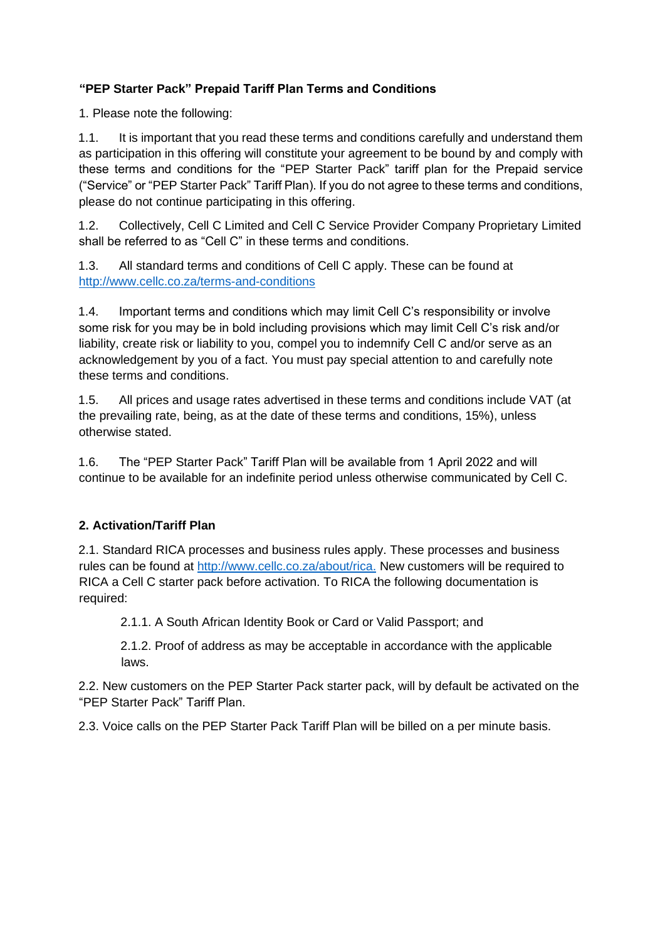## **"PEP Starter Pack" Prepaid Tariff Plan Terms and Conditions**

1. Please note the following:

1.1. It is important that you read these terms and conditions carefully and understand them as participation in this offering will constitute your agreement to be bound by and comply with these terms and conditions for the "PEP Starter Pack" tariff plan for the Prepaid service ("Service" or "PEP Starter Pack" Tariff Plan). If you do not agree to these terms and conditions, please do not continue participating in this offering.

1.2. Collectively, Cell C Limited and Cell C Service Provider Company Proprietary Limited shall be referred to as "Cell C" in these terms and conditions.

1.3. All standard terms and conditions of Cell C apply. These can be found at [http://www.cellc.co.za/terms-and-](http://www.cellc.co.za/terms)conditions

1.4. Important terms and conditions which may limit Cell C's responsibility or involve some risk for you may be in bold including provisions which may limit Cell C's risk and/or liability, create risk or liability to you, compel you to indemnify Cell C and/or serve as an acknowledgement by you of a fact. You must pay special attention to and carefully note these terms and conditions.

1.5. All prices and usage rates advertised in these terms and conditions include VAT (at the prevailing rate, being, as at the date of these terms and conditions, 15%), unless otherwise stated.

1.6. The "PEP Starter Pack" Tariff Plan will be available from 1 April 2022 and will continue to be available for an indefinite period unless otherwise communicated by Cell C.

### **2. Activation/Tariff Plan**

2.1. Standard RICA processes and business rules apply. These processes and business rules can be found at<http://www.cellc.co.za/about/rica.> [New](http://www.cellc.co.za/about/rica.) customers will be required to RICA a Cell C starter pack before activation. To RICA the following documentation is required:

2.1.1. A South African Identity Book or Card or Valid Passport; and

2.1.2. Proof of address as may be acceptable in accordance with the applicable laws.

2.2. New customers on the PEP Starter Pack starter pack, will by default be activated on the "PEP Starter Pack" Tariff Plan.

2.3. Voice calls on the PEP Starter Pack Tariff Plan will be billed on a per minute basis.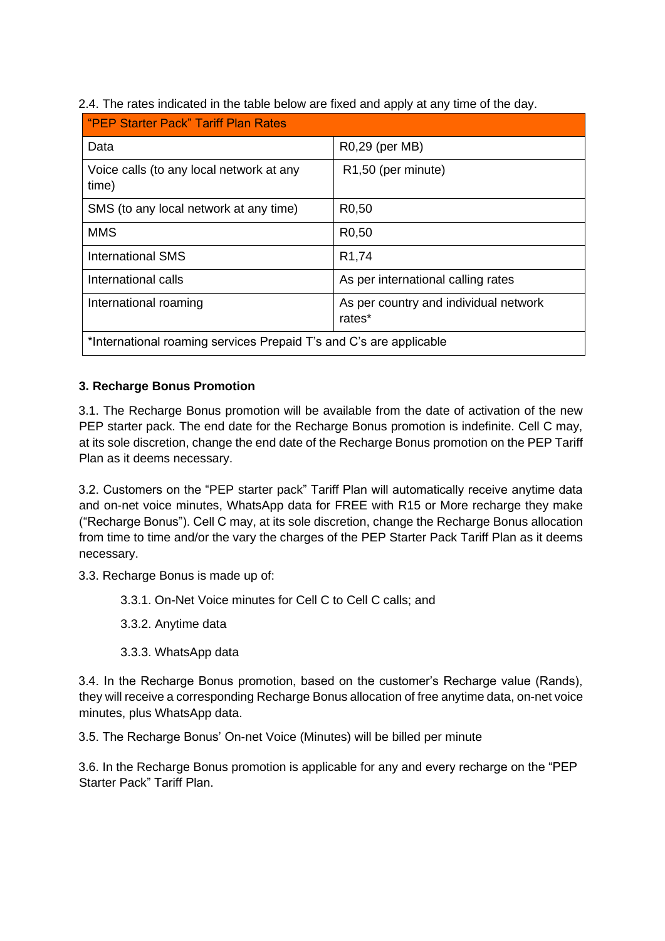2.4. The rates indicated in the table below are fixed and apply at any time of the day.

| "PEP Starter Pack" Tariff Plan Rates                               |                                                 |  |  |  |
|--------------------------------------------------------------------|-------------------------------------------------|--|--|--|
| Data                                                               | R0,29 (per MB)                                  |  |  |  |
| Voice calls (to any local network at any<br>time)                  | R1,50 (per minute)                              |  |  |  |
| SMS (to any local network at any time)                             | R <sub>0</sub> ,50                              |  |  |  |
| <b>MMS</b>                                                         | R <sub>0</sub> ,50                              |  |  |  |
| <b>International SMS</b>                                           | R <sub>1</sub> ,74                              |  |  |  |
| International calls                                                | As per international calling rates              |  |  |  |
| International roaming                                              | As per country and individual network<br>rates* |  |  |  |
| *International roaming services Prepaid T's and C's are applicable |                                                 |  |  |  |

### **3. Recharge Bonus Promotion**

3.1. The Recharge Bonus promotion will be available from the date of activation of the new PEP starter pack. The end date for the Recharge Bonus promotion is indefinite. Cell C may, at its sole discretion, change the end date of the Recharge Bonus promotion on the PEP Tariff Plan as it deems necessary.

3.2. Customers on the "PEP starter pack" Tariff Plan will automatically receive anytime data and on-net voice minutes, WhatsApp data for FREE with R15 or More recharge they make ("Recharge Bonus"). Cell C may, at its sole discretion, change the Recharge Bonus allocation from time to time and/or the vary the charges of the PEP Starter Pack Tariff Plan as it deems necessary.

3.3. Recharge Bonus is made up of:

3.3.1. On-Net Voice minutes for Cell C to Cell C calls; and

3.3.2. Anytime data

3.3.3. WhatsApp data

3.4. In the Recharge Bonus promotion, based on the customer's Recharge value (Rands), they will receive a corresponding Recharge Bonus allocation of free anytime data, on-net voice minutes, plus WhatsApp data.

3.5. The Recharge Bonus' On-net Voice (Minutes) will be billed per minute

3.6. In the Recharge Bonus promotion is applicable for any and every recharge on the "PEP Starter Pack" Tariff Plan.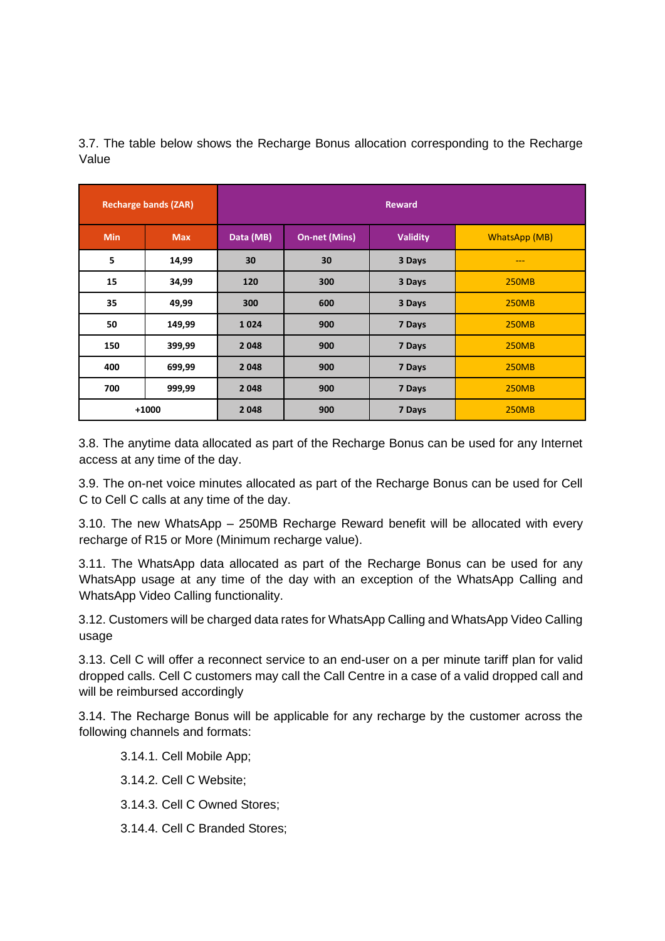| <b>Recharge bands (ZAR)</b> |            | <b>Reward</b> |                      |                 |                      |
|-----------------------------|------------|---------------|----------------------|-----------------|----------------------|
| <b>Min</b>                  | <b>Max</b> | Data (MB)     | <b>On-net (Mins)</b> | <b>Validity</b> | <b>WhatsApp (MB)</b> |
| 5                           | 14,99      | 30            | 30                   | 3 Days          | ---                  |
| 15                          | 34,99      | 120           | 300                  | 3 Days          | <b>250MB</b>         |
| 35                          | 49,99      | 300           | 600                  | 3 Days          | <b>250MB</b>         |
| 50                          | 149,99     | 1024          | 900                  | 7 Days          | <b>250MB</b>         |
| 150                         | 399,99     | 2048          | 900                  | 7 Days          | <b>250MB</b>         |
| 400                         | 699,99     | 2048          | 900                  | 7 Days          | <b>250MB</b>         |
| 700                         | 999,99     | 2048          | 900                  | 7 Days          | <b>250MB</b>         |
|                             | $+1000$    | 2048          | 900                  | 7 Days          | <b>250MB</b>         |

3.7. The table below shows the Recharge Bonus allocation corresponding to the Recharge Value

3.8. The anytime data allocated as part of the Recharge Bonus can be used for any Internet access at any time of the day.

3.9. The on-net voice minutes allocated as part of the Recharge Bonus can be used for Cell C to Cell C calls at any time of the day.

3.10. The new WhatsApp – 250MB Recharge Reward benefit will be allocated with every recharge of R15 or More (Minimum recharge value).

3.11. The WhatsApp data allocated as part of the Recharge Bonus can be used for any WhatsApp usage at any time of the day with an exception of the WhatsApp Calling and WhatsApp Video Calling functionality.

3.12. Customers will be charged data rates for WhatsApp Calling and WhatsApp Video Calling usage

3.13. Cell C will offer a reconnect service to an end-user on a per minute tariff plan for valid dropped calls. Cell C customers may call the Call Centre in a case of a valid dropped call and will be reimbursed accordingly

3.14. The Recharge Bonus will be applicable for any recharge by the customer across the following channels and formats:

3.14.1. Cell Mobile App;

3.14.2. Cell C Website;

- 3.14.3. Cell C Owned Stores;
- 3.14.4. Cell C Branded Stores;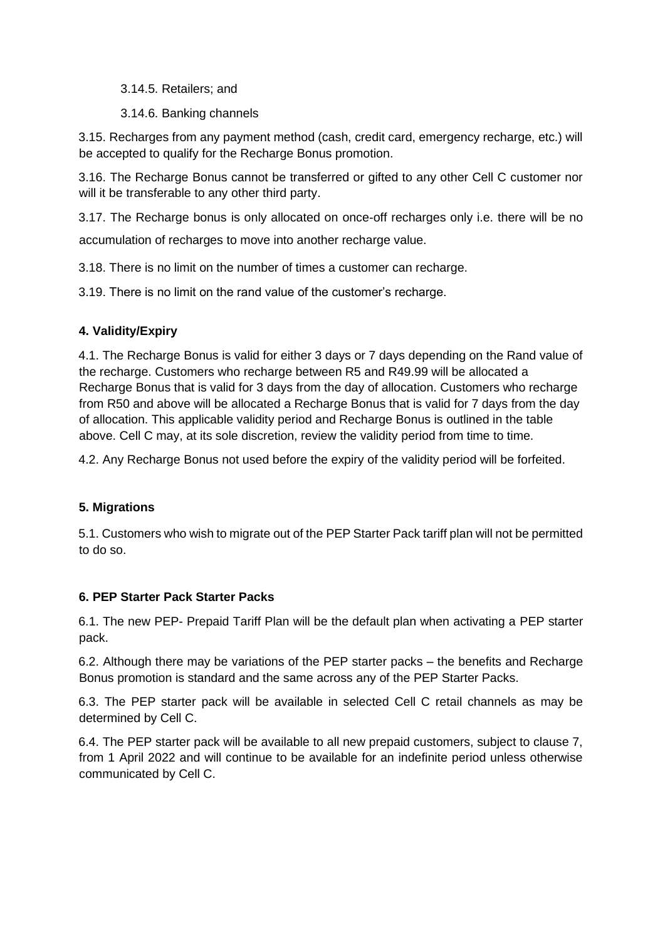3.14.5. Retailers; and

3.14.6. Banking channels

3.15. Recharges from any payment method (cash, credit card, emergency recharge, etc.) will be accepted to qualify for the Recharge Bonus promotion.

3.16. The Recharge Bonus cannot be transferred or gifted to any other Cell C customer nor will it be transferable to any other third party.

3.17. The Recharge bonus is only allocated on once-off recharges only i.e. there will be no accumulation of recharges to move into another recharge value.

3.18. There is no limit on the number of times a customer can recharge.

3.19. There is no limit on the rand value of the customer's recharge.

### **4. Validity/Expiry**

4.1. The Recharge Bonus is valid for either 3 days or 7 days depending on the Rand value of the recharge. Customers who recharge between R5 and R49.99 will be allocated a Recharge Bonus that is valid for 3 days from the day of allocation. Customers who recharge from R50 and above will be allocated a Recharge Bonus that is valid for 7 days from the day of allocation. This applicable validity period and Recharge Bonus is outlined in the table above. Cell C may, at its sole discretion, review the validity period from time to time.

4.2. Any Recharge Bonus not used before the expiry of the validity period will be forfeited.

### **5. Migrations**

5.1. Customers who wish to migrate out of the PEP Starter Pack tariff plan will not be permitted to do so.

### **6. PEP Starter Pack Starter Packs**

6.1. The new PEP- Prepaid Tariff Plan will be the default plan when activating a PEP starter pack.

6.2. Although there may be variations of the PEP starter packs – the benefits and Recharge Bonus promotion is standard and the same across any of the PEP Starter Packs.

6.3. The PEP starter pack will be available in selected Cell C retail channels as may be determined by Cell C.

6.4. The PEP starter pack will be available to all new prepaid customers, subject to clause 7, from 1 April 2022 and will continue to be available for an indefinite period unless otherwise communicated by Cell C.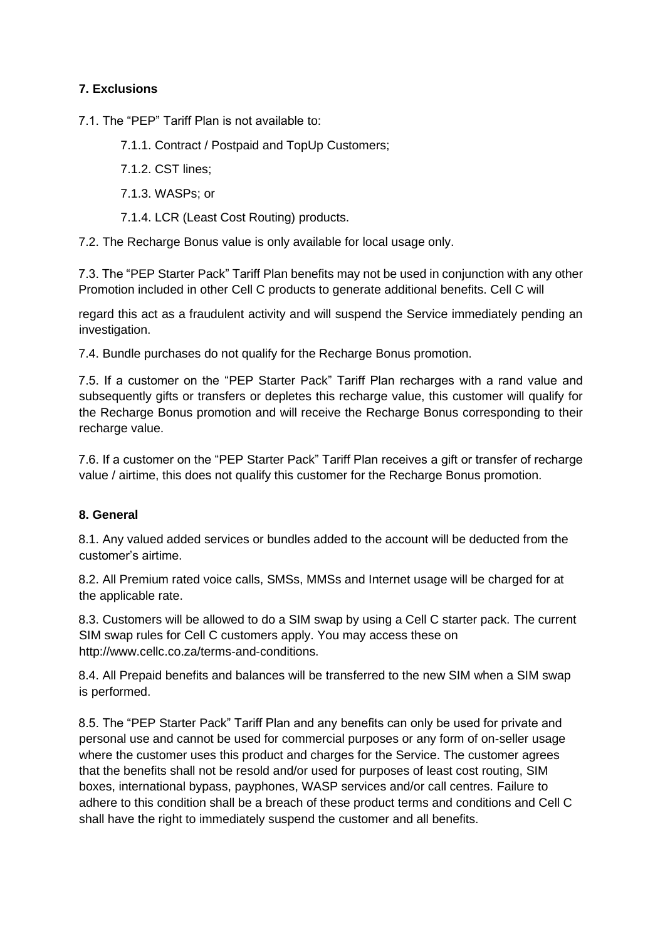# **7. Exclusions**

7.1. The "PEP" Tariff Plan is not available to:

7.1.1. Contract / Postpaid and TopUp Customers;

7.1.2. CST lines;

7.1.3. WASPs; or

7.1.4. LCR (Least Cost Routing) products.

7.2. The Recharge Bonus value is only available for local usage only.

7.3. The "PEP Starter Pack" Tariff Plan benefits may not be used in conjunction with any other Promotion included in other Cell C products to generate additional benefits. Cell C will

regard this act as a fraudulent activity and will suspend the Service immediately pending an investigation.

7.4. Bundle purchases do not qualify for the Recharge Bonus promotion.

7.5. If a customer on the "PEP Starter Pack" Tariff Plan recharges with a rand value and subsequently gifts or transfers or depletes this recharge value, this customer will qualify for the Recharge Bonus promotion and will receive the Recharge Bonus corresponding to their recharge value.

7.6. If a customer on the "PEP Starter Pack" Tariff Plan receives a gift or transfer of recharge value / airtime, this does not qualify this customer for the Recharge Bonus promotion.

#### **8. General**

8.1. Any valued added services or bundles added to the account will be deducted from the customer's airtime.

8.2. All Premium rated voice calls, SMSs, MMSs and Internet usage will be charged for at the applicable rate.

8.3. Customers will be allowed to do a SIM swap by using a Cell C starter pack. The current SIM swap rules for Cell C customers apply. You may access these on http://www.cellc.co.za/terms-and-conditions.

8.4. All Prepaid benefits and balances will be transferred to the new SIM when a SIM swap is performed.

8.5. The "PEP Starter Pack" Tariff Plan and any benefits can only be used for private and personal use and cannot be used for commercial purposes or any form of on-seller usage where the customer uses this product and charges for the Service. The customer agrees that the benefits shall not be resold and/or used for purposes of least cost routing, SIM boxes, international bypass, payphones, WASP services and/or call centres. Failure to adhere to this condition shall be a breach of these product terms and conditions and Cell C shall have the right to immediately suspend the customer and all benefits.